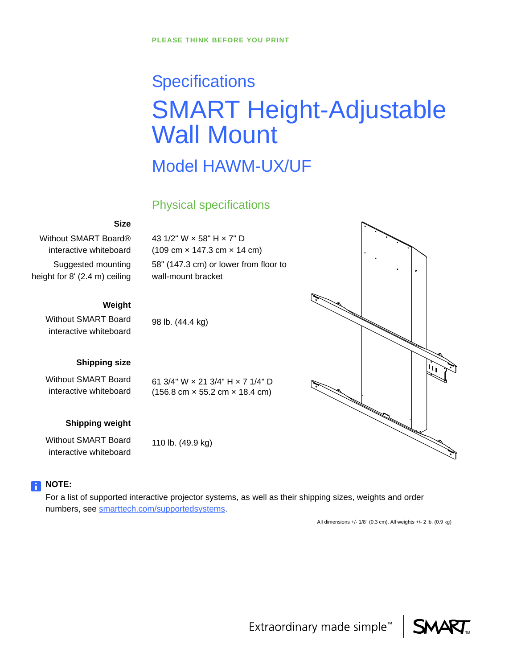# **Specifications** SMART Height-Adjustable Wall Mount

## Model HAWM-UX/UF

### Physical specifications

58" (147.3 cm) or lower from floor to

61 3/4" W × 21 3/4" H × 7 1/4" D (156.8 cm × 55.2 cm × 18.4 cm)

43 1/2" W × 58" H × 7" D (109 cm × 147.3 cm × 14 cm)

wall-mount bracket

98 lb. (44.4 kg)

#### **Size**

Without SMART Board® interactive whiteboard Suggested mounting height for 8' (2.4 m) ceiling

#### **Weight**

Without SMART Board interactive whiteboard

#### **Shipping size**

Without SMART Board interactive whiteboard

#### **Shipping weight**

Without SMART Board interactive whiteboard

110 lb. (49.9 kg)

#### **NOTE:**

For a list of supported interactive projector systems, as well as their shipping sizes, weights and order numbers, see [smarttech.com/supportedsystems.](http://www.smarttech.com/supportedsystems)

All dimensions +/- 1/8" (0.3 cm). All weights +/- 2 lb. (0.9 kg)





Extraordinary made simple<sup>™</sup>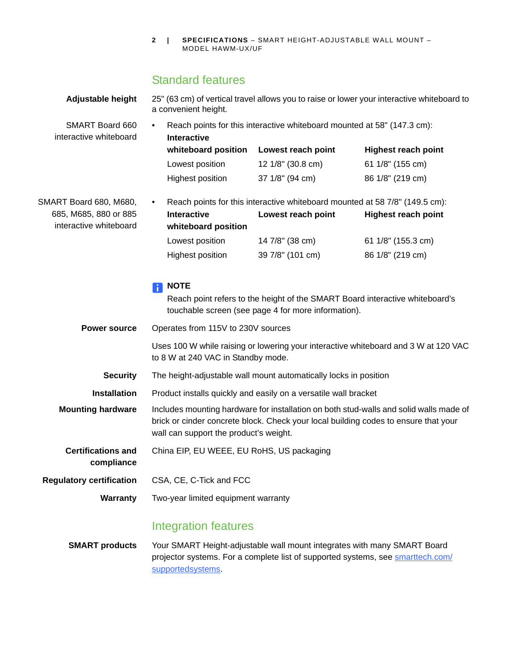**2 | SPECIFICATIONS** – SMART HEIGHT-ADJUSTABLE WALL MOUNT – MODEL HAWM-UX/UF

## Standard features

| Adjustable height                               | 25" (63 cm) of vertical travel allows you to raise or lower your interactive whiteboard to<br>a convenient height.                                                                                                      |                                                     |                                                                                     |  |
|-------------------------------------------------|-------------------------------------------------------------------------------------------------------------------------------------------------------------------------------------------------------------------------|-----------------------------------------------------|-------------------------------------------------------------------------------------|--|
| SMART Board 660<br>interactive whiteboard       | Reach points for this interactive whiteboard mounted at 58" (147.3 cm):<br><b>Interactive</b>                                                                                                                           |                                                     |                                                                                     |  |
|                                                 | whiteboard position                                                                                                                                                                                                     | Lowest reach point                                  | <b>Highest reach point</b>                                                          |  |
|                                                 | Lowest position                                                                                                                                                                                                         | 12 1/8" (30.8 cm)                                   | 61 1/8" (155 cm)                                                                    |  |
|                                                 | <b>Highest position</b>                                                                                                                                                                                                 | 37 1/8" (94 cm)                                     | 86 1/8" (219 cm)                                                                    |  |
| SMART Board 680, M680,                          | Reach points for this interactive whiteboard mounted at 58 7/8" (149.5 cm):<br>٠                                                                                                                                        |                                                     |                                                                                     |  |
| 685, M685, 880 or 885<br>interactive whiteboard | <b>Interactive</b><br>whiteboard position                                                                                                                                                                               | Lowest reach point                                  | <b>Highest reach point</b>                                                          |  |
|                                                 | Lowest position                                                                                                                                                                                                         | 14 7/8" (38 cm)                                     | 61 1/8" (155.3 cm)                                                                  |  |
|                                                 | Highest position                                                                                                                                                                                                        | 39 7/8" (101 cm)                                    | 86 1/8" (219 cm)                                                                    |  |
|                                                 | <b>NOTE</b><br>$\vert \hspace{.06cm} \vert$                                                                                                                                                                             | touchable screen (see page 4 for more information). | Reach point refers to the height of the SMART Board interactive whiteboard's        |  |
| <b>Power source</b>                             | Operates from 115V to 230V sources                                                                                                                                                                                      |                                                     |                                                                                     |  |
|                                                 | to 8 W at 240 VAC in Standby mode.                                                                                                                                                                                      |                                                     | Uses 100 W while raising or lowering your interactive whiteboard and 3 W at 120 VAC |  |
| <b>Security</b>                                 | The height-adjustable wall mount automatically locks in position                                                                                                                                                        |                                                     |                                                                                     |  |
| <b>Installation</b>                             | Product installs quickly and easily on a versatile wall bracket                                                                                                                                                         |                                                     |                                                                                     |  |
| <b>Mounting hardware</b>                        | Includes mounting hardware for installation on both stud-walls and solid walls made of<br>brick or cinder concrete block. Check your local building codes to ensure that your<br>wall can support the product's weight. |                                                     |                                                                                     |  |
| <b>Certifications and</b><br>compliance         | China EIP, EU WEEE, EU RoHS, US packaging                                                                                                                                                                               |                                                     |                                                                                     |  |
| <b>Regulatory certification</b>                 | CSA, CE, C-Tick and FCC                                                                                                                                                                                                 |                                                     |                                                                                     |  |
| Warranty                                        | Two-year limited equipment warranty                                                                                                                                                                                     |                                                     |                                                                                     |  |
|                                                 | Integration features                                                                                                                                                                                                    |                                                     |                                                                                     |  |
| <b>SMART products</b>                           | Your SMART Height-adjustable wall mount integrates with many SMART Board<br>ctor outpose. For a populate list of currented outpose and one                                                                              |                                                     |                                                                                     |  |

projector systems. For a complete list of supported systems, see **[smarttech.com/](http://www.smarttech.com/supportedsystems)** [supportedsystems](http://www.smarttech.com/supportedsystems).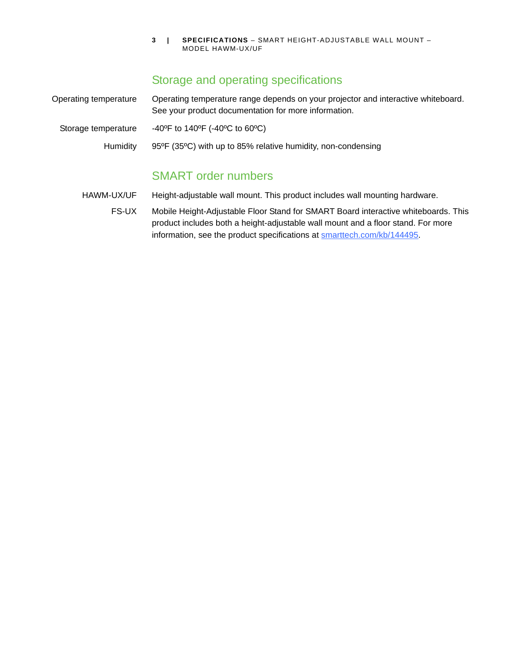**3 | SPECIFICATIONS** – SMART HEIGHT-ADJUSTABLE WALL MOUNT – MODEL HAWM-UX/UF

## Storage and operating specifications

| Operating temperature | Operating temperature range depends on your projector and interactive whiteboard.<br>See your product documentation for more information. |  |  |
|-----------------------|-------------------------------------------------------------------------------------------------------------------------------------------|--|--|
| Storage temperature   | -40°F to 140°F (-40°C to 60°C)                                                                                                            |  |  |
| Humidity              | 95°F (35°C) with up to 85% relative humidity, non-condensing                                                                              |  |  |
|                       |                                                                                                                                           |  |  |

## SMART order numbers

HAWM-UX/UF Height-adjustable wall mount. This product includes wall mounting hardware.

FS-UX Mobile Height-Adjustable Floor Stand for SMART Board interactive whiteboards. This product includes both a height-adjustable wall mount and a floor stand. For more information, see the product specifications at **smarttech.com/kb/144495**.